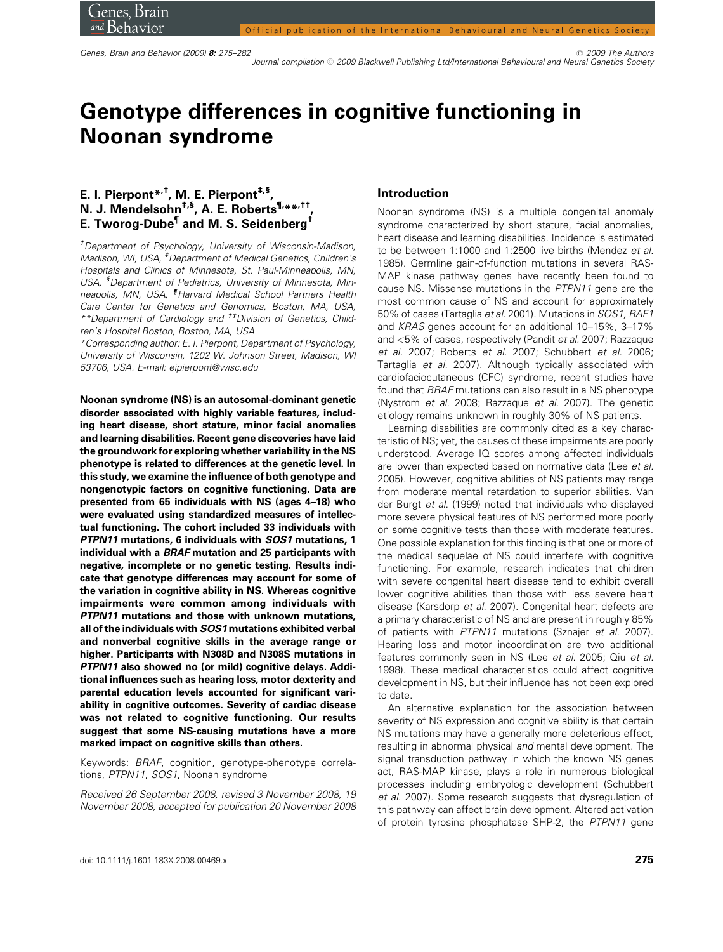Genes, Brain and Behavior (2009) 8: 275–282 **2009** The Authors 2009 The Authors 2009 The Authors 2009 The Authors 2009 The Authors 2009 The Authors 2009 The Authors 2009 The Authors 2009 Journal compilation @ 2009 Blackwell Publishing Ltd/International Behavioural and Neural Genetics Society

# Genotype differences in cognitive functioning in Noonan syndrome

## E. I. Pierpont\*<sup>,†</sup>, M. E. Pierpont<sup>‡,§</sup>, N. J. Mendelsohn<sup>‡,§</sup>, A. E. Roberts<sup>¶,</sup>\*\*<sup>,††</sup>, E. Tworog-Dube¶ and M. S. Seidenberg†

† Department of Psychology, University of Wisconsin-Madison, Madison, WI, USA, <sup>‡</sup>Department of Medical Genetics, Children's Hospitals and Clinics of Minnesota, St. Paul-Minneapolis, MN, USA, <sup>§</sup> Department of Pediatrics, University of Minnesota, Minneapolis, MN, USA, ¶Harvard Medical School Partners Health Care Center for Genetics and Genomics, Boston, MA, USA, \*\*Department of Cardiology and ††Division of Genetics, Children's Hospital Boston, Boston, MA, USA

\*Corresponding author: E. I. Pierpont, Department of Psychology, University of Wisconsin, 1202 W. Johnson Street, Madison, WI 53706, USA. E-mail: eipierpont@wisc.edu

Noonan syndrome (NS) is an autosomal-dominant genetic disorder associated with highly variable features, including heart disease, short stature, minor facial anomalies and learning disabilities. Recent gene discoveries have laid the groundwork for exploring whether variability in the NS phenotype is related to differences at the genetic level. In this study, we examine the influence of both genotype and nongenotypic factors on cognitive functioning. Data are presented from 65 individuals with NS (ages 4–18) who were evaluated using standardized measures of intellectual functioning. The cohort included 33 individuals with PTPN11 mutations, 6 individuals with SOS1 mutations, 1 individual with a BRAF mutation and 25 participants with negative, incomplete or no genetic testing. Results indicate that genotype differences may account for some of the variation in cognitive ability in NS. Whereas cognitive impairments were common among individuals with PTPN11 mutations and those with unknown mutations, all of the individuals with SOS1 mutations exhibited verbal and nonverbal cognitive skills in the average range or higher. Participants with N308D and N308S mutations in PTPN11 also showed no (or mild) cognitive delays. Additional influences such as hearing loss, motor dexterity and parental education levels accounted for significant variability in cognitive outcomes. Severity of cardiac disease was not related to cognitive functioning. Our results suggest that some NS-causing mutations have a more marked impact on cognitive skills than others.

Keywords: BRAF, cognition, genotype-phenotype correlations, PTPN11, SOS1, Noonan syndrome

Received 26 September 2008, revised 3 November 2008, 19 November 2008, accepted for publication 20 November 2008

## Introduction

Noonan syndrome (NS) is a multiple congenital anomaly syndrome characterized by short stature, facial anomalies, heart disease and learning disabilities. Incidence is estimated to be between 1:1000 and 1:2500 live births (Mendez et al. 1985). Germline gain-of-function mutations in several RAS-MAP kinase pathway genes have recently been found to cause NS. Missense mutations in the PTPN11 gene are the most common cause of NS and account for approximately 50% of cases (Tartaglia et al. 2001). Mutations in SOS1, RAF1 and KRAS genes account for an additional 10–15%, 3–17% and <5% of cases, respectively (Pandit et al. 2007; Razzaque et al. 2007; Roberts et al. 2007; Schubbert et al. 2006; Tartaglia et al. 2007). Although typically associated with cardiofaciocutaneous (CFC) syndrome, recent studies have found that BRAF mutations can also result in a NS phenotype (Nystrom et al. 2008; Razzaque et al. 2007). The genetic etiology remains unknown in roughly 30% of NS patients.

Learning disabilities are commonly cited as a key characteristic of NS; yet, the causes of these impairments are poorly understood. Average IQ scores among affected individuals are lower than expected based on normative data (Lee et al. 2005). However, cognitive abilities of NS patients may range from moderate mental retardation to superior abilities. Van der Burgt et al. (1999) noted that individuals who displayed more severe physical features of NS performed more poorly on some cognitive tests than those with moderate features. One possible explanation for this finding is that one or more of the medical sequelae of NS could interfere with cognitive functioning. For example, research indicates that children with severe congenital heart disease tend to exhibit overall lower cognitive abilities than those with less severe heart disease (Karsdorp et al. 2007). Congenital heart defects are a primary characteristic of NS and are present in roughly 85% of patients with PTPN11 mutations (Sznajer et al. 2007). Hearing loss and motor incoordination are two additional features commonly seen in NS (Lee et al. 2005; Qiu et al. 1998). These medical characteristics could affect cognitive development in NS, but their influence has not been explored to date.

An alternative explanation for the association between severity of NS expression and cognitive ability is that certain NS mutations may have a generally more deleterious effect, resulting in abnormal physical and mental development. The signal transduction pathway in which the known NS genes act, RAS-MAP kinase, plays a role in numerous biological processes including embryologic development (Schubbert et al. 2007). Some research suggests that dysregulation of this pathway can affect brain development. Altered activation of protein tyrosine phosphatase SHP-2, the PTPN11 gene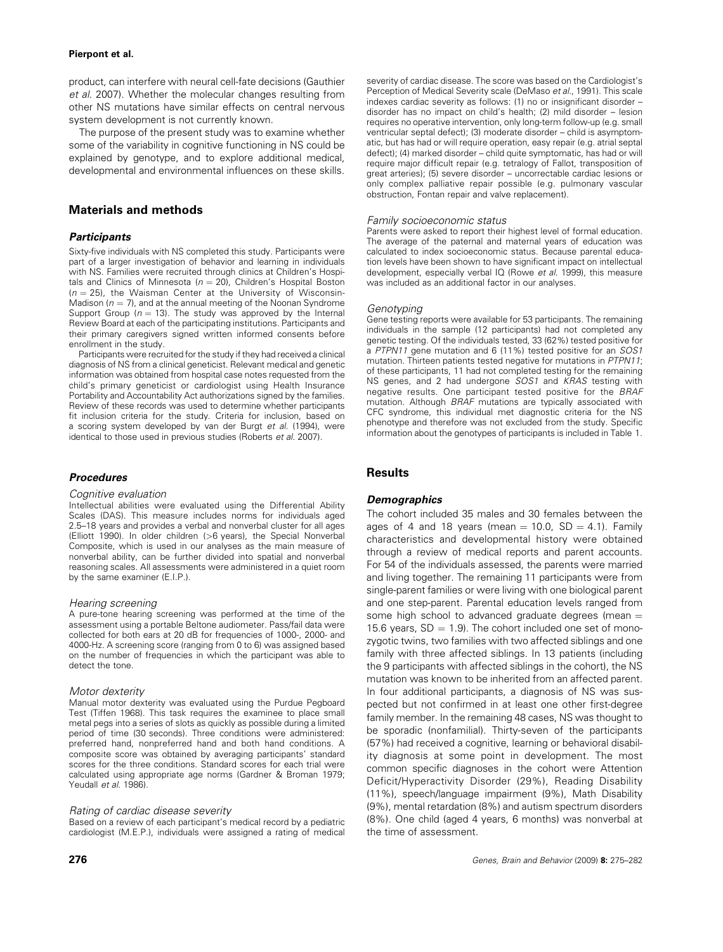## Pierpont et al.

product, can interfere with neural cell-fate decisions (Gauthier et al. 2007). Whether the molecular changes resulting from other NS mutations have similar effects on central nervous system development is not currently known.

The purpose of the present study was to examine whether some of the variability in cognitive functioning in NS could be explained by genotype, and to explore additional medical, developmental and environmental influences on these skills.

## Materials and methods

## **Participants**

Sixty-five individuals with NS completed this study. Participants were part of a larger investigation of behavior and learning in individuals with NS. Families were recruited through clinics at Children's Hospitals and Clinics of Minnesota ( $n = 20$ ), Children's Hospital Boston  $(n = 25)$ , the Waisman Center at the University of Wisconsin-Madison ( $n = 7$ ), and at the annual meeting of the Noonan Syndrome Support Group ( $n = 13$ ). The study was approved by the Internal Review Board at each of the participating institutions. Participants and their primary caregivers signed written informed consents before enrollment in the study.

Participants were recruited for the study if they had received a clinical diagnosis of NS from a clinical geneticist. Relevant medical and genetic information was obtained from hospital case notes requested from the child's primary geneticist or cardiologist using Health Insurance Portability and Accountability Act authorizations signed by the families. Review of these records was used to determine whether participants fit inclusion criteria for the study. Criteria for inclusion, based on a scoring system developed by van der Burgt et al. (1994), were identical to those used in previous studies (Roberts et al. 2007).

## Procedures

#### Cognitive evaluation

Intellectual abilities were evaluated using the Differential Ability Scales (DAS). This measure includes norms for individuals aged 2.5–18 years and provides a verbal and nonverbal cluster for all ages (Elliott 1990). In older children (>6 years), the Special Nonverbal Composite, which is used in our analyses as the main measure of nonverbal ability, can be further divided into spatial and nonverbal reasoning scales. All assessments were administered in a quiet room by the same examiner (E.I.P.).

#### Hearing screening

A pure-tone hearing screening was performed at the time of the assessment using a portable Beltone audiometer. Pass/fail data were collected for both ears at 20 dB for frequencies of 1000-, 2000- and 4000-Hz. A screening score (ranging from 0 to 6) was assigned based on the number of frequencies in which the participant was able to detect the tone.

#### Motor dexterity

Manual motor dexterity was evaluated using the Purdue Pegboard Test (Tiffen 1968). This task requires the examinee to place small metal pegs into a series of slots as quickly as possible during a limited period of time (30 seconds). Three conditions were administered: preferred hand, nonpreferred hand and both hand conditions. A composite score was obtained by averaging participants' standard scores for the three conditions. Standard scores for each trial were calculated using appropriate age norms (Gardner & Broman 1979; Yeudall et al. 1986).

## Rating of cardiac disease severity

Based on a review of each participant's medical record by a pediatric cardiologist (M.E.P.), individuals were assigned a rating of medical severity of cardiac disease. The score was based on the Cardiologist's Perception of Medical Severity scale (DeMaso et al., 1991). This scale indexes cardiac severity as follows: (1) no or insignificant disorder – disorder has no impact on child's health; (2) mild disorder – lesion requires no operative intervention, only long-term follow-up (e.g. small ventricular septal defect); (3) moderate disorder – child is asymptomatic, but has had or will require operation, easy repair (e.g. atrial septal defect); (4) marked disorder – child quite symptomatic, has had or will require major difficult repair (e.g. tetralogy of Fallot, transposition of great arteries); (5) severe disorder – uncorrectable cardiac lesions or only complex palliative repair possible (e.g. pulmonary vascular obstruction, Fontan repair and valve replacement).

#### Family socioeconomic status

Parents were asked to report their highest level of formal education. The average of the paternal and maternal years of education was calculated to index socioeconomic status. Because parental education levels have been shown to have significant impact on intellectual development, especially verbal IQ (Rowe et al. 1999), this measure was included as an additional factor in our analyses.

#### Genotyping

Gene testing reports were available for 53 participants. The remaining individuals in the sample (12 participants) had not completed any genetic testing. Of the individuals tested, 33 (62%) tested positive for a PTPN11 gene mutation and 6 (11%) tested positive for an SOS1 mutation. Thirteen patients tested negative for mutations in PTPN11; of these participants, 11 had not completed testing for the remaining NS genes, and 2 had undergone SOS1 and KRAS testing with negative results. One participant tested positive for the BRAF mutation. Although BRAF mutations are typically associated with CFC syndrome, this individual met diagnostic criteria for the NS phenotype and therefore was not excluded from the study. Specific information about the genotypes of participants is included in Table 1.

## **Results**

## **Demographics**

The cohort included 35 males and 30 females between the ages of 4 and 18 years (mean  $= 10.0$ , SD  $= 4.1$ ). Family characteristics and developmental history were obtained through a review of medical reports and parent accounts. For 54 of the individuals assessed, the parents were married and living together. The remaining 11 participants were from single-parent families or were living with one biological parent and one step-parent. Parental education levels ranged from some high school to advanced graduate degrees (mean  $=$ 15.6 years,  $SD = 1.9$ ). The cohort included one set of monozygotic twins, two families with two affected siblings and one family with three affected siblings. In 13 patients (including the 9 participants with affected siblings in the cohort), the NS mutation was known to be inherited from an affected parent. In four additional participants, a diagnosis of NS was suspected but not confirmed in at least one other first-degree family member. In the remaining 48 cases, NS was thought to be sporadic (nonfamilial). Thirty-seven of the participants (57%) had received a cognitive, learning or behavioral disability diagnosis at some point in development. The most common specific diagnoses in the cohort were Attention Deficit/Hyperactivity Disorder (29%), Reading Disability (11%), speech/language impairment (9%), Math Disability (9%), mental retardation (8%) and autism spectrum disorders (8%). One child (aged 4 years, 6 months) was nonverbal at the time of assessment.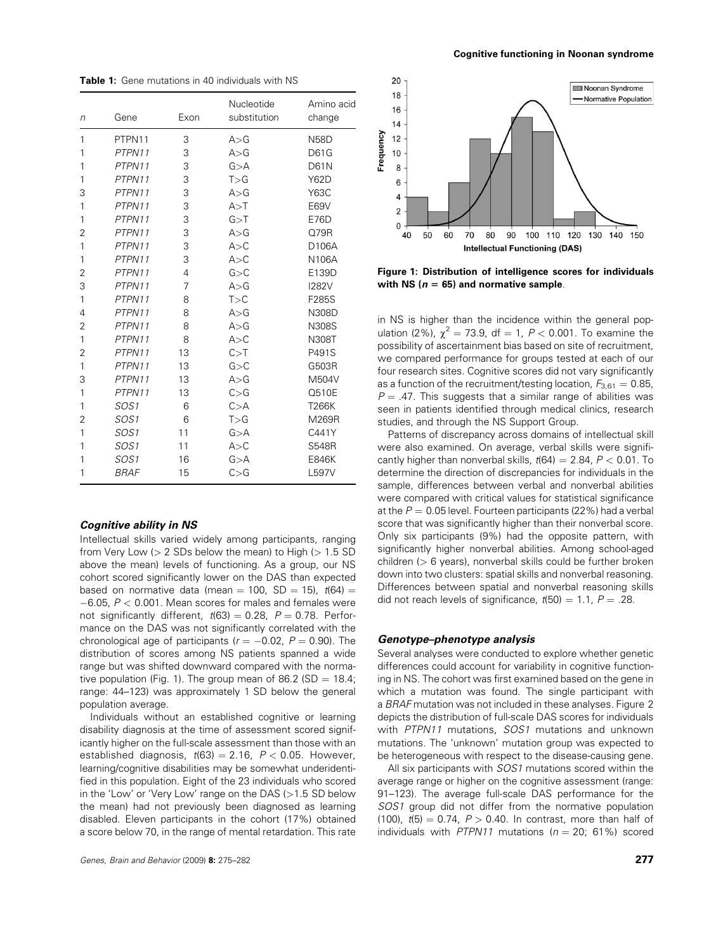Table 1: Gene mutations in 40 individuals with NS

| n              | Gene             | Exon | Nucleotide<br>substitution | Amino acid<br>change |
|----------------|------------------|------|----------------------------|----------------------|
| 1              | PTPN11           | 3    | A > G                      | <b>N58D</b>          |
| 1              | PTPN11           | 3    | A > G                      | <b>D61G</b>          |
| 1              | PTPN11           | 3    | G > A                      | <b>D61N</b>          |
| 1              | PTPN11           | 3    | T > G                      | <b>Y62D</b>          |
| 3              | PTPN11           | 3    | A > G                      | Y63C                 |
| 1              | PTPN11           | 3    | A > T                      | E69V                 |
| 1              | PTPN11           | 3    | G > T                      | E76D                 |
| 2              | PTPN11           | 3    | A > G                      | Q79R                 |
| 1              | PTPN11           | 3    | A > C                      | D106A                |
| 1              | PTPN11           | 3    | A > C                      | N106A                |
| 2              | PTPN11           | 4    | G > C                      | E139D                |
| 3              | PTPN11           | 7    | A > G                      | <b>I282V</b>         |
| 1              | PTPN11           | 8    | T>C                        | F285S                |
| 4              | PTPN11           | 8    | A > G                      | N308D                |
| $\overline{2}$ | PTPN11           | 8    | A > G                      | N308S                |
| 1              | PTPN11           | 8    | A > C                      | N308T                |
| $\overline{2}$ | PTPN11           | 13   | C > T                      | P491S                |
| 1              | PTPN11           | 13   | G > C                      | G503R                |
| 3              | PTPN11           | 13   | A > G                      | M504V                |
| 1              | PTPN11           | 13   | C > G                      | Q510E                |
| 1              | SOS <sub>1</sub> | 6    | C > A                      | T266K                |
| $\overline{2}$ | SOS <sub>1</sub> | 6    | T>G                        | M269R                |
| 1              | SOS1             | 11   | G > A                      | C441Y                |
| 1              | SOS <sub>1</sub> | 11   | A > C                      | <b>S548R</b>         |
| 1              | SOS <sub>1</sub> | 16   | G > A                      | E846K                |
| 1              | <b>BRAF</b>      | 15   | C > G                      | L597V                |

## Cognitive ability in NS

Intellectual skills varied widely among participants, ranging from Very Low  $(> 2$  SDs below the mean) to High  $(> 1.5$  SD above the mean) levels of functioning. As a group, our NS cohort scored significantly lower on the DAS than expected based on normative data (mean = 100, SD = 15),  $t(64)$  =  $-6.05$ ,  $P < 0.001$ . Mean scores for males and females were not significantly different,  $t(63) = 0.28$ ,  $P = 0.78$ . Performance on the DAS was not significantly correlated with the chronological age of participants ( $r = -0.02$ ,  $P = 0.90$ ). The distribution of scores among NS patients spanned a wide range but was shifted downward compared with the normative population (Fig. 1). The group mean of 86.2 (SD = 18.4; range: 44–123) was approximately 1 SD below the general population average.

Individuals without an established cognitive or learning disability diagnosis at the time of assessment scored significantly higher on the full-scale assessment than those with an established diagnosis,  $t(63) = 2.16$ ,  $P < 0.05$ . However, learning/cognitive disabilities may be somewhat underidentified in this population. Eight of the 23 individuals who scored in the 'Low' or 'Very Low' range on the DAS (>1.5 SD below the mean) had not previously been diagnosed as learning disabled. Eleven participants in the cohort (17%) obtained a score below 70, in the range of mental retardation. This rate



Figure 1: Distribution of intelligence scores for individuals with NS ( $n = 65$ ) and normative sample.

in NS is higher than the incidence within the general population (2%),  $\chi^2 = 73.9$ , df = 1, P < 0.001. To examine the possibility of ascertainment bias based on site of recruitment, we compared performance for groups tested at each of our four research sites. Cognitive scores did not vary significantly as a function of the recruitment/testing location,  $F_{3,61} = 0.85$ ,  $P = .47$ . This suggests that a similar range of abilities was seen in patients identified through medical clinics, research studies, and through the NS Support Group.

Patterns of discrepancy across domains of intellectual skill were also examined. On average, verbal skills were significantly higher than nonverbal skills,  $t(64) = 2.84$ ,  $P < 0.01$ . To determine the direction of discrepancies for individuals in the sample, differences between verbal and nonverbal abilities were compared with critical values for statistical significance at the  $P = 0.05$  level. Fourteen participants (22%) had a verbal score that was significantly higher than their nonverbal score. Only six participants (9%) had the opposite pattern, with significantly higher nonverbal abilities. Among school-aged children ( $> 6$  years), nonverbal skills could be further broken down into two clusters: spatial skills and nonverbal reasoning. Differences between spatial and nonverbal reasoning skills did not reach levels of significance,  $t(50) = 1.1$ ,  $P = .28$ .

## Genotype–phenotype analysis

Several analyses were conducted to explore whether genetic differences could account for variability in cognitive functioning in NS. The cohort was first examined based on the gene in which a mutation was found. The single participant with a BRAF mutation was not included in these analyses. Figure 2 depicts the distribution of full-scale DAS scores for individuals with PTPN11 mutations, SOS1 mutations and unknown mutations. The 'unknown' mutation group was expected to be heterogeneous with respect to the disease-causing gene.

All six participants with SOS1 mutations scored within the average range or higher on the cognitive assessment (range: 91–123). The average full-scale DAS performance for the SOS1 group did not differ from the normative population (100),  $t(5) = 0.74$ ,  $P > 0.40$ . In contrast, more than half of individuals with PTPN11 mutations ( $n = 20$ ; 61%) scored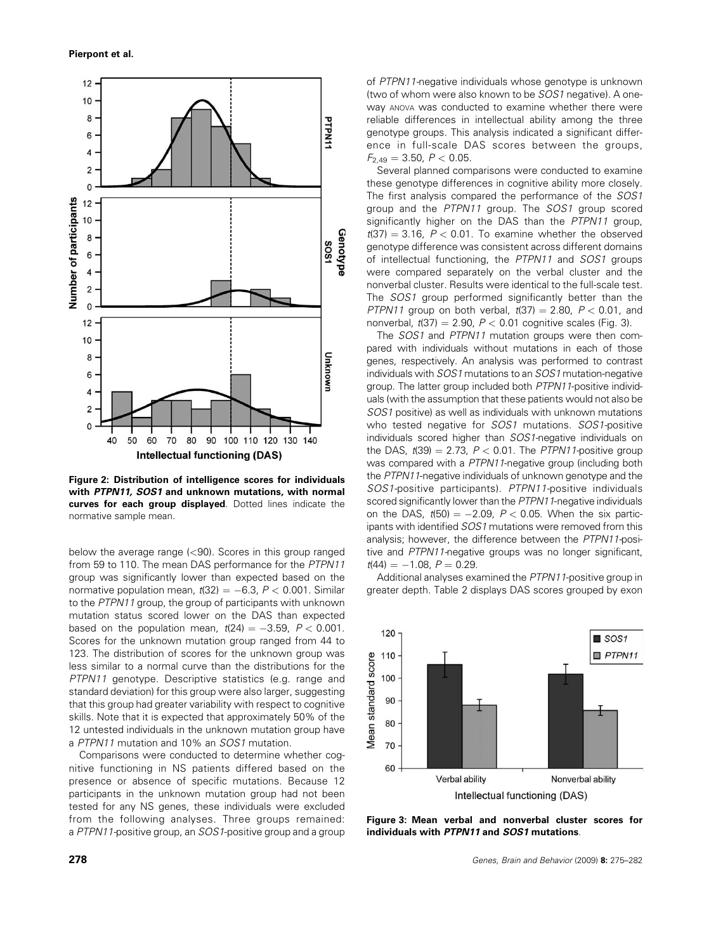

Figure 2: Distribution of intelligence scores for individuals with PTPN11, SOS1 and unknown mutations, with normal curves for each group displayed. Dotted lines indicate the normative sample mean.

below the average range (<90). Scores in this group ranged from 59 to 110. The mean DAS performance for the PTPN11 group was significantly lower than expected based on the normative population mean,  $t(32) = -6.3$ ,  $P < 0.001$ . Similar to the PTPN11 group, the group of participants with unknown mutation status scored lower on the DAS than expected based on the population mean,  $t(24) = -3.59$ ,  $P < 0.001$ . Scores for the unknown mutation group ranged from 44 to 123. The distribution of scores for the unknown group was less similar to a normal curve than the distributions for the PTPN11 genotype. Descriptive statistics (e.g. range and standard deviation) for this group were also larger, suggesting that this group had greater variability with respect to cognitive skills. Note that it is expected that approximately 50% of the 12 untested individuals in the unknown mutation group have a PTPN11 mutation and 10% an SOS1 mutation.

Comparisons were conducted to determine whether cognitive functioning in NS patients differed based on the presence or absence of specific mutations. Because 12 participants in the unknown mutation group had not been tested for any NS genes, these individuals were excluded from the following analyses. Three groups remained: a PTPN11-positive group, an SOS1-positive group and a group of PTPN11-negative individuals whose genotype is unknown (two of whom were also known to be SOS1 negative). A oneway ANOVA was conducted to examine whether there were reliable differences in intellectual ability among the three genotype groups. This analysis indicated a significant difference in full-scale DAS scores between the groups,  $F_{2,49} = 3.50, P < 0.05.$ 

Several planned comparisons were conducted to examine these genotype differences in cognitive ability more closely. The first analysis compared the performance of the SOS1 group and the PTPN11 group. The SOS1 group scored significantly higher on the DAS than the PTPN11 group,  $t(37) = 3.16$ ,  $P < 0.01$ . To examine whether the observed genotype difference was consistent across different domains of intellectual functioning, the PTPN11 and SOS1 groups were compared separately on the verbal cluster and the nonverbal cluster. Results were identical to the full-scale test. The SOS1 group performed significantly better than the PTPN11 group on both verbal,  $t(37) = 2.80$ ,  $P < 0.01$ , and nonverbal,  $t(37) = 2.90$ ,  $P < 0.01$  cognitive scales (Fig. 3).

The SOS1 and PTPN11 mutation groups were then compared with individuals without mutations in each of those genes, respectively. An analysis was performed to contrast individuals with SOS1 mutations to an SOS1 mutation-negative group. The latter group included both PTPN11-positive individuals (with the assumption that these patients would not also be SOS1 positive) as well as individuals with unknown mutations who tested negative for SOS1 mutations. SOS1-positive individuals scored higher than SOS1-negative individuals on the DAS,  $t(39) = 2.73$ ,  $P < 0.01$ . The PTPN11-positive group was compared with a PTPN11-negative group (including both the PTPN11-negative individuals of unknown genotype and the SOS1-positive participants). PTPN11-positive individuals scored significantly lower than the PTPN11-negative individuals on the DAS,  $t(50) = -2.09$ ,  $P < 0.05$ . When the six participants with identified SOS1 mutations were removed from this analysis; however, the difference between the PTPN11-positive and PTPN11-negative groups was no longer significant,  $t(44) = -1.08$ ,  $P = 0.29$ .

Additional analyses examined the PTPN11-positive group in greater depth. Table 2 displays DAS scores grouped by exon



Figure 3: Mean verbal and nonverbal cluster scores for individuals with PTPN11 and SOS1 mutations.

278 Genes, Brain and Behavior (2009) 8: 275–282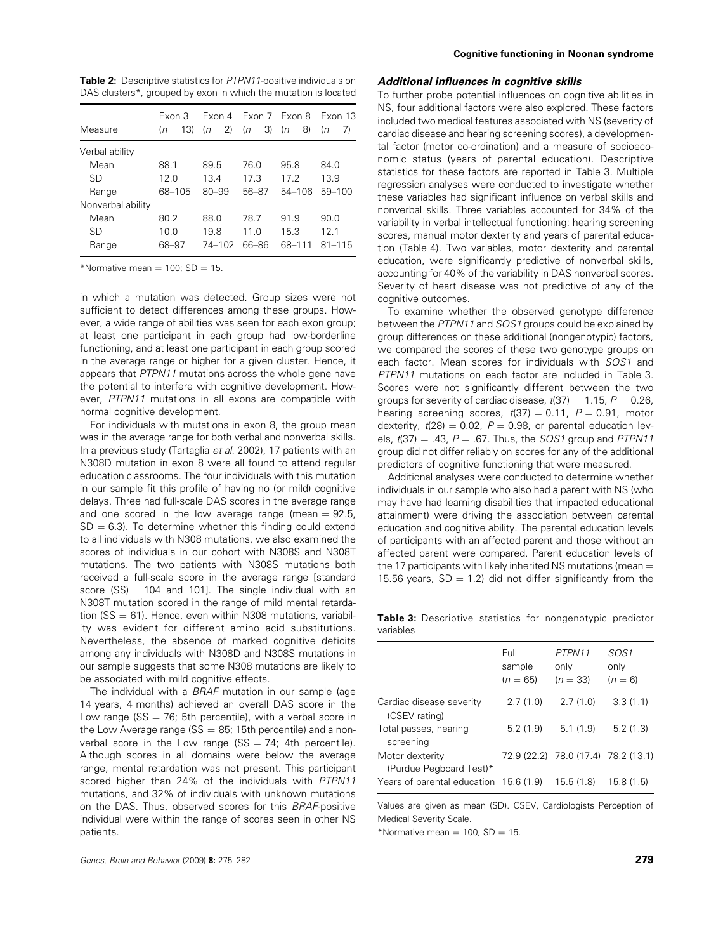| <b>Table 2:</b> Descriptive statistics for <i>PTPN11</i> -positive individuals on |  |  |
|-----------------------------------------------------------------------------------|--|--|
| DAS clusters <sup>*</sup> , grouped by exon in which the mutation is located      |  |  |

| Measure           | Exon 3 | Fxon 4<br>$(n = 13)$ $(n = 2)$ $(n = 3)$ $(n = 8)$ | Fxon 7 Fxon 8   |            | Exon 13<br>$(n = 7)$ |
|-------------------|--------|----------------------------------------------------|-----------------|------------|----------------------|
| Verbal ability    |        |                                                    |                 |            |                      |
| Mean              | 88.1   | 89.5                                               | 76.0            | 95.8       | 84.0                 |
| <b>SD</b>         | 12.0   | 13.4                                               | 17.3            | 17.2       | 13.9                 |
| Range             | 68-105 | $80 - 99$                                          | 56-87           | $54 - 106$ | $59 - 100$           |
| Nonverbal ability |        |                                                    |                 |            |                      |
| Mean              | 80.2   | 88.0                                               | 78.7            | 91.9       | 90.0                 |
| SD                | 10.0   | 198                                                | 11 <sub>0</sub> | 15.3       | 121                  |
| Range             | 68-97  | 74-102                                             | 66–86           | 68-111     | $81 - 115$           |

\*Normative mean  $= 100$ ; SD  $= 15$ .

in which a mutation was detected. Group sizes were not sufficient to detect differences among these groups. However, a wide range of abilities was seen for each exon group; at least one participant in each group had low-borderline functioning, and at least one participant in each group scored in the average range or higher for a given cluster. Hence, it appears that PTPN11 mutations across the whole gene have the potential to interfere with cognitive development. However, PTPN11 mutations in all exons are compatible with normal cognitive development.

For individuals with mutations in exon 8, the group mean was in the average range for both verbal and nonverbal skills. In a previous study (Tartaglia et al. 2002), 17 patients with an N308D mutation in exon 8 were all found to attend regular education classrooms. The four individuals with this mutation in our sample fit this profile of having no (or mild) cognitive delays. Three had full-scale DAS scores in the average range and one scored in the low average range (mean  $= 92.5$ ,  $SD = 6.3$ ). To determine whether this finding could extend to all individuals with N308 mutations, we also examined the scores of individuals in our cohort with N308S and N308T mutations. The two patients with N308S mutations both received a full-scale score in the average range [standard score  $(SS) = 104$  and 101]. The single individual with an N308T mutation scored in the range of mild mental retardation ( $SS = 61$ ). Hence, even within N308 mutations, variability was evident for different amino acid substitutions. Nevertheless, the absence of marked cognitive deficits among any individuals with N308D and N308S mutations in our sample suggests that some N308 mutations are likely to be associated with mild cognitive effects.

The individual with a BRAF mutation in our sample (age 14 years, 4 months) achieved an overall DAS score in the Low range ( $SS = 76$ ; 5th percentile), with a verbal score in the Low Average range ( $SS = 85$ ; 15th percentile) and a nonverbal score in the Low range  $(SS = 74; 4th percentile).$ Although scores in all domains were below the average range, mental retardation was not present. This participant scored higher than 24% of the individuals with PTPN11 mutations, and 32% of individuals with unknown mutations on the DAS. Thus, observed scores for this BRAF-positive individual were within the range of scores seen in other NS patients.

## Additional influences in cognitive skills

To further probe potential influences on cognitive abilities in NS, four additional factors were also explored. These factors included two medical features associated with NS (severity of cardiac disease and hearing screening scores), a developmental factor (motor co-ordination) and a measure of socioeconomic status (years of parental education). Descriptive statistics for these factors are reported in Table 3. Multiple regression analyses were conducted to investigate whether these variables had significant influence on verbal skills and nonverbal skills. Three variables accounted for 34% of the variability in verbal intellectual functioning: hearing screening scores, manual motor dexterity and years of parental education (Table 4). Two variables, motor dexterity and parental education, were significantly predictive of nonverbal skills, accounting for 40% of the variability in DAS nonverbal scores. Severity of heart disease was not predictive of any of the cognitive outcomes.

To examine whether the observed genotype difference between the PTPN11 and SOS1 groups could be explained by group differences on these additional (nongenotypic) factors, we compared the scores of these two genotype groups on each factor. Mean scores for individuals with SOS1 and PTPN11 mutations on each factor are included in Table 3. Scores were not significantly different between the two groups for severity of cardiac disease,  $t(37) = 1.15$ ,  $P = 0.26$ , hearing screening scores,  $t(37) = 0.11$ ,  $P = 0.91$ , motor dexterity,  $t(28) = 0.02$ ,  $P = 0.98$ , or parental education levels,  $t(37) = .43$ ,  $P = .67$ . Thus, the SOS1 group and PTPN11 group did not differ reliably on scores for any of the additional predictors of cognitive functioning that were measured.

Additional analyses were conducted to determine whether individuals in our sample who also had a parent with NS (who may have had learning disabilities that impacted educational attainment) were driving the association between parental education and cognitive ability. The parental education levels of participants with an affected parent and those without an affected parent were compared. Parent education levels of the 17 participants with likely inherited NS mutations (mean  $=$ 15.56 years,  $SD = 1.2$ ) did not differ significantly from the

Table 3: Descriptive statistics for nongenotypic predictor variables

|                                            | Full<br>sample<br>$(n = 65)$ | PTPN11<br>only<br>$(n = 33)$        | SOS1<br>only<br>$(n = 6)$ |
|--------------------------------------------|------------------------------|-------------------------------------|---------------------------|
| Cardiac disease severity<br>(CSEV rating)  | 2.7(1.0)                     | 2.7(1.0)                            | 3.3(1.1)                  |
| Total passes, hearing<br>screening         | 5.2(1.9)                     | 5.1(1.9)                            | 5.2(1.3)                  |
| Motor dexterity<br>(Purdue Pegboard Test)* |                              | 72.9 (22.2) 78.0 (17.4) 78.2 (13.1) |                           |
| Years of parental education 15.6 (1.9)     |                              | 15.5(1.8)                           | 15.8 (1.5)                |

Values are given as mean (SD). CSEV, Cardiologists Perception of Medical Severity Scale.

\*Normative mean  $= 100$ , SD  $= 15$ .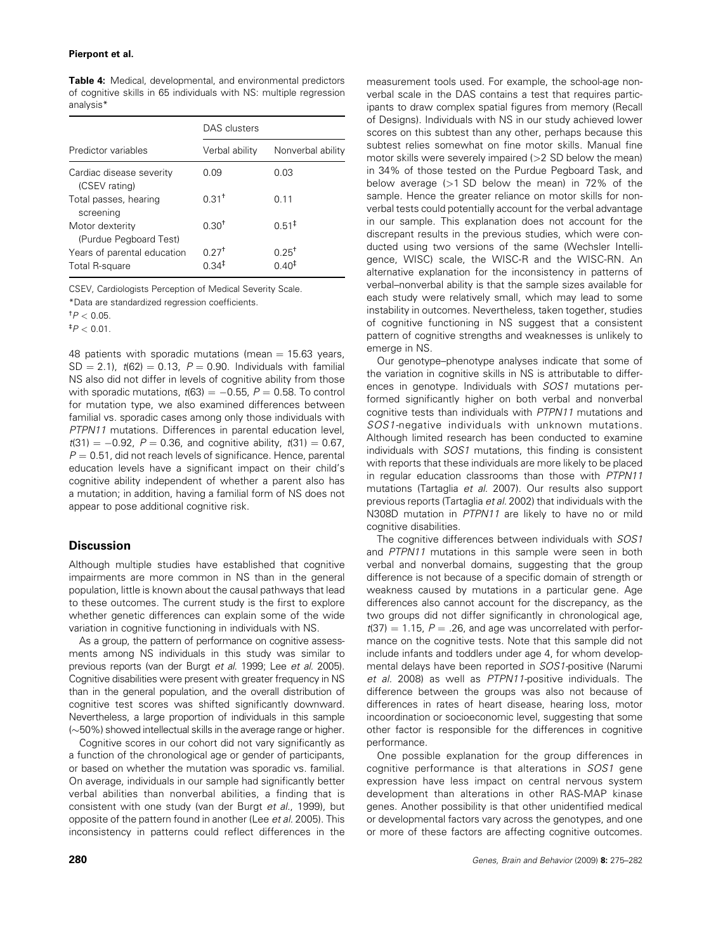#### Pierpont et al.

Table 4: Medical, developmental, and environmental predictors of cognitive skills in 65 individuals with NS: multiple regression analysis\*

|                                               | DAS clusters                 |                                 |  |
|-----------------------------------------------|------------------------------|---------------------------------|--|
| Predictor variables                           | Verbal ability               | Nonverbal ability               |  |
| Cardiac disease severity<br>(CSEV rating)     | 0.09                         | 0.03                            |  |
| Total passes, hearing<br>screening            | $0.31+$                      | 0.11                            |  |
| Motor dexterity<br>(Purdue Pegboard Test)     | $0.30^{+}$                   | $0.51^{\ddagger}$               |  |
| Years of parental education<br>Total R-square | $0.27$ <sup>+</sup><br>በ 34‡ | $0.25^{+}$<br>0.40 <sup>‡</sup> |  |

CSEV, Cardiologists Perception of Medical Severity Scale.

\*Data are standardized regression coefficients.

 $^{\dagger}P < 0.05$ .

 $^{\ddagger}P < 0.01$ .

48 patients with sporadic mutations (mean  $= 15.63$  years,  $SD = 2.1$ ,  $t(62) = 0.13$ ,  $P = 0.90$ . Individuals with familial NS also did not differ in levels of cognitive ability from those with sporadic mutations,  $t(63) = -0.55$ ,  $P = 0.58$ . To control for mutation type, we also examined differences between familial vs. sporadic cases among only those individuals with PTPN11 mutations. Differences in parental education level,  $t(31) = -0.92$ ,  $P = 0.36$ , and cognitive ability,  $t(31) = 0.67$ ,  $P = 0.51$ , did not reach levels of significance. Hence, parental education levels have a significant impact on their child's cognitive ability independent of whether a parent also has a mutation; in addition, having a familial form of NS does not appear to pose additional cognitive risk.

## **Discussion**

Although multiple studies have established that cognitive impairments are more common in NS than in the general population, little is known about the causal pathways that lead to these outcomes. The current study is the first to explore whether genetic differences can explain some of the wide variation in cognitive functioning in individuals with NS.

As a group, the pattern of performance on cognitive assessments among NS individuals in this study was similar to previous reports (van der Burgt et al. 1999; Lee et al. 2005). Cognitive disabilities were present with greater frequency in NS than in the general population, and the overall distribution of cognitive test scores was shifted significantly downward. Nevertheless, a large proportion of individuals in this sample  $(\sim]50\%)$  showed intellectual skills in the average range or higher.

Cognitive scores in our cohort did not vary significantly as a function of the chronological age or gender of participants, or based on whether the mutation was sporadic vs. familial. On average, individuals in our sample had significantly better verbal abilities than nonverbal abilities, a finding that is consistent with one study (van der Burgt et al., 1999), but opposite of the pattern found in another (Lee et al. 2005). This inconsistency in patterns could reflect differences in the measurement tools used. For example, the school-age nonverbal scale in the DAS contains a test that requires participants to draw complex spatial figures from memory (Recall of Designs). Individuals with NS in our study achieved lower scores on this subtest than any other, perhaps because this subtest relies somewhat on fine motor skills. Manual fine motor skills were severely impaired (>2 SD below the mean) in 34% of those tested on the Purdue Pegboard Task, and below average (>1 SD below the mean) in 72% of the sample. Hence the greater reliance on motor skills for nonverbal tests could potentially account for the verbal advantage in our sample. This explanation does not account for the discrepant results in the previous studies, which were conducted using two versions of the same (Wechsler Intelligence, WISC) scale, the WISC-R and the WISC-RN. An alternative explanation for the inconsistency in patterns of verbal–nonverbal ability is that the sample sizes available for each study were relatively small, which may lead to some instability in outcomes. Nevertheless, taken together, studies of cognitive functioning in NS suggest that a consistent pattern of cognitive strengths and weaknesses is unlikely to emerge in NS.

Our genotype–phenotype analyses indicate that some of the variation in cognitive skills in NS is attributable to differences in genotype. Individuals with SOS1 mutations performed significantly higher on both verbal and nonverbal cognitive tests than individuals with PTPN11 mutations and SOS1-negative individuals with unknown mutations. Although limited research has been conducted to examine individuals with SOS1 mutations, this finding is consistent with reports that these individuals are more likely to be placed in regular education classrooms than those with PTPN11 mutations (Tartaglia et al. 2007). Our results also support previous reports (Tartaglia et al. 2002) that individuals with the N308D mutation in PTPN11 are likely to have no or mild cognitive disabilities.

The cognitive differences between individuals with SOS1 and PTPN11 mutations in this sample were seen in both verbal and nonverbal domains, suggesting that the group difference is not because of a specific domain of strength or weakness caused by mutations in a particular gene. Age differences also cannot account for the discrepancy, as the two groups did not differ significantly in chronological age,  $t(37) = 1.15$ ,  $P = .26$ , and age was uncorrelated with performance on the cognitive tests. Note that this sample did not include infants and toddlers under age 4, for whom developmental delays have been reported in SOS1-positive (Narumi et al. 2008) as well as PTPN11-positive individuals. The difference between the groups was also not because of differences in rates of heart disease, hearing loss, motor incoordination or socioeconomic level, suggesting that some other factor is responsible for the differences in cognitive performance.

One possible explanation for the group differences in cognitive performance is that alterations in SOS1 gene expression have less impact on central nervous system development than alterations in other RAS-MAP kinase genes. Another possibility is that other unidentified medical or developmental factors vary across the genotypes, and one or more of these factors are affecting cognitive outcomes.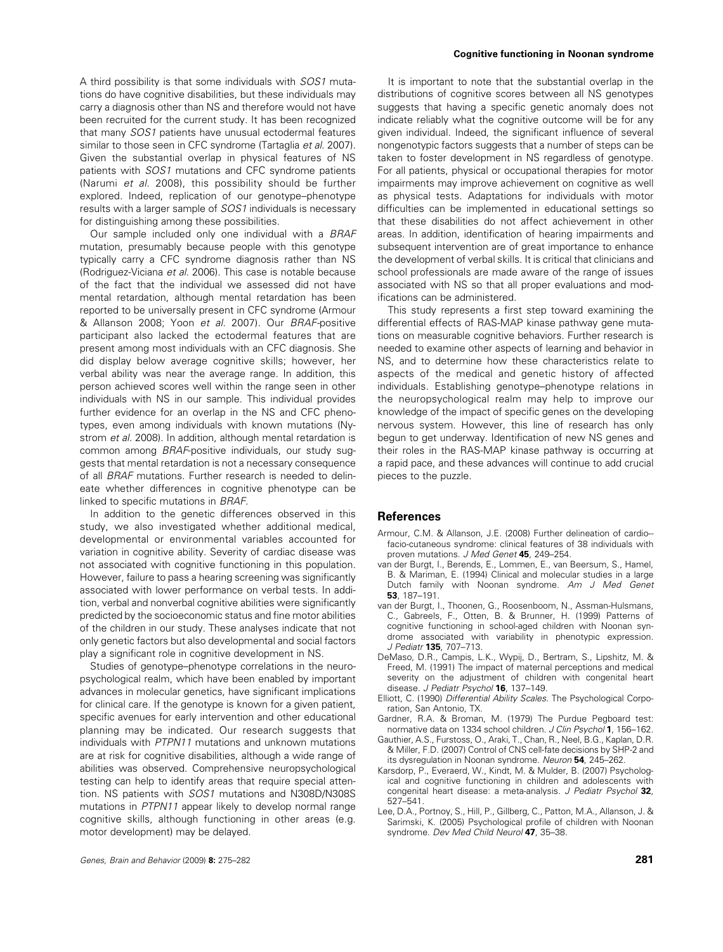A third possibility is that some individuals with SOS1 mutations do have cognitive disabilities, but these individuals may carry a diagnosis other than NS and therefore would not have been recruited for the current study. It has been recognized that many SOS1 patients have unusual ectodermal features similar to those seen in CFC syndrome (Tartaglia et al. 2007). Given the substantial overlap in physical features of NS patients with SOS1 mutations and CFC syndrome patients (Narumi et al. 2008), this possibility should be further explored. Indeed, replication of our genotype–phenotype results with a larger sample of SOS1 individuals is necessary for distinguishing among these possibilities.

Our sample included only one individual with a BRAF mutation, presumably because people with this genotype typically carry a CFC syndrome diagnosis rather than NS (Rodriguez-Viciana et al. 2006). This case is notable because of the fact that the individual we assessed did not have mental retardation, although mental retardation has been reported to be universally present in CFC syndrome (Armour & Allanson 2008; Yoon et al. 2007). Our BRAF-positive participant also lacked the ectodermal features that are present among most individuals with an CFC diagnosis. She did display below average cognitive skills; however, her verbal ability was near the average range. In addition, this person achieved scores well within the range seen in other individuals with NS in our sample. This individual provides further evidence for an overlap in the NS and CFC phenotypes, even among individuals with known mutations (Nystrom et al. 2008). In addition, although mental retardation is common among BRAF-positive individuals, our study suggests that mental retardation is not a necessary consequence of all BRAF mutations. Further research is needed to delineate whether differences in cognitive phenotype can be linked to specific mutations in BRAF.

In addition to the genetic differences observed in this study, we also investigated whether additional medical, developmental or environmental variables accounted for variation in cognitive ability. Severity of cardiac disease was not associated with cognitive functioning in this population. However, failure to pass a hearing screening was significantly associated with lower performance on verbal tests. In addition, verbal and nonverbal cognitive abilities were significantly predicted by the socioeconomic status and fine motor abilities of the children in our study. These analyses indicate that not only genetic factors but also developmental and social factors play a significant role in cognitive development in NS.

Studies of genotype–phenotype correlations in the neuropsychological realm, which have been enabled by important advances in molecular genetics, have significant implications for clinical care. If the genotype is known for a given patient, specific avenues for early intervention and other educational planning may be indicated. Our research suggests that individuals with PTPN11 mutations and unknown mutations are at risk for cognitive disabilities, although a wide range of abilities was observed. Comprehensive neuropsychological testing can help to identify areas that require special attention. NS patients with SOS1 mutations and N308D/N308S mutations in PTPN11 appear likely to develop normal range cognitive skills, although functioning in other areas (e.g. motor development) may be delayed.

#### Cognitive functioning in Noonan syndrome

It is important to note that the substantial overlap in the distributions of cognitive scores between all NS genotypes suggests that having a specific genetic anomaly does not indicate reliably what the cognitive outcome will be for any given individual. Indeed, the significant influence of several nongenotypic factors suggests that a number of steps can be taken to foster development in NS regardless of genotype. For all patients, physical or occupational therapies for motor impairments may improve achievement on cognitive as well as physical tests. Adaptations for individuals with motor difficulties can be implemented in educational settings so that these disabilities do not affect achievement in other areas. In addition, identification of hearing impairments and subsequent intervention are of great importance to enhance the development of verbal skills. It is critical that clinicians and school professionals are made aware of the range of issues associated with NS so that all proper evaluations and modifications can be administered.

This study represents a first step toward examining the differential effects of RAS-MAP kinase pathway gene mutations on measurable cognitive behaviors. Further research is needed to examine other aspects of learning and behavior in NS, and to determine how these characteristics relate to aspects of the medical and genetic history of affected individuals. Establishing genotype–phenotype relations in the neuropsychological realm may help to improve our knowledge of the impact of specific genes on the developing nervous system. However, this line of research has only begun to get underway. Identification of new NS genes and their roles in the RAS-MAP kinase pathway is occurring at a rapid pace, and these advances will continue to add crucial pieces to the puzzle.

## References

- Armour, C.M. & Allanson, J.E. (2008) Further delineation of cardio- facio-cutaneous syndrome: clinical features of 38 individuals with proven mutations. J Med Genet 45, 249-254.
- van der Burgt, I., Berends, E., Lommen, E., van Beersum, S., Hamel, B. & Mariman, E. (1994) Clinical and molecular studies in a large Dutch family with Noonan syndrome. Am J Med Genet 53, 187–191.
- van der Burgt, I., Thoonen, G., Roosenboom, N., Assman-Hulsmans, C., Gabreels, F., Otten, B. & Brunner, H. (1999) Patterns of cognitive functioning in school-aged children with Noonan syndrome associated with variability in phenotypic expression. J Pediatr 135, 707-713.
- DeMaso, D.R., Campis, L.K., Wypij, D., Bertram, S., Lipshitz, M. & Freed, M. (1991) The impact of maternal perceptions and medical severity on the adjustment of children with congenital heart disease. J Pediatr Psychol 16, 137-149.
- Elliott, C. (1990) Differential Ability Scales. The Psychological Corporation, San Antonio, TX.
- Gardner, R.A. & Broman, M. (1979) The Purdue Pegboard test: normative data on 1334 school children. J Clin Psychol 1, 156-162.
- Gauthier, A.S., Furstoss, O., Araki, T., Chan, R., Neel, B.G., Kaplan, D.R. & Miller, F.D. (2007) Control of CNS cell-fate decisions by SHP-2 and its dysregulation in Noonan syndrome. Neuron 54, 245-262.
- Karsdorp, P., Everaerd, W., Kindt, M. & Mulder, B. (2007) Psychological and cognitive functioning in children and adolescents with congenital heart disease: a meta-analysis. J Pediatr Psychol 32, 527–541.
- Lee, D.A., Portnoy, S., Hill, P., Gillberg, C., Patton, M.A., Allanson, J. & Sarimski, K. (2005) Psychological profile of children with Noonan syndrome. Dev Med Child Neurol 47, 35-38.